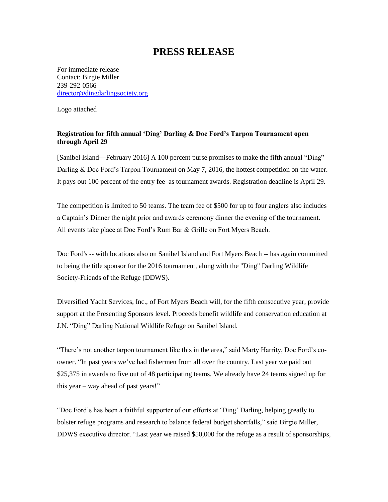## **PRESS RELEASE**

For immediate release Contact: Birgie Miller 239-292-0566 [director@dingdarlingsociety.org](mailto:director@dingdarlingsociety.org)

Logo attached

## **Registration for fifth annual 'Ding' Darling & Doc Ford's Tarpon Tournament open through April 29**

[Sanibel Island—February 2016] A 100 percent purse promises to make the fifth annual "Ding" Darling & Doc Ford's Tarpon Tournament on May 7, 2016, the hottest competition on the water. It pays out 100 percent of the entry fee as tournament awards. Registration deadline is April 29.

The competition is limited to 50 teams. The team fee of \$500 for up to four anglers also includes a Captain's Dinner the night prior and awards ceremony dinner the evening of the tournament. All events take place at Doc Ford's Rum Bar & Grille on Fort Myers Beach.

Doc Ford's -- with locations also on Sanibel Island and Fort Myers Beach -- has again committed to being the title sponsor for the 2016 tournament, along with the "Ding" Darling Wildlife Society-Friends of the Refuge (DDWS).

Diversified Yacht Services, Inc., of Fort Myers Beach will, for the fifth consecutive year, provide support at the Presenting Sponsors level. Proceeds benefit wildlife and conservation education at J.N. "Ding" Darling National Wildlife Refuge on Sanibel Island.

"There's not another tarpon tournament like this in the area," said Marty Harrity, Doc Ford's coowner. "In past years we've had fishermen from all over the country. Last year we paid out \$25,375 in awards to five out of 48 participating teams. We already have 24 teams signed up for this year – way ahead of past years!"

"Doc Ford's has been a faithful supporter of our efforts at 'Ding' Darling, helping greatly to bolster refuge programs and research to balance federal budget shortfalls," said Birgie Miller, DDWS executive director. "Last year we raised \$50,000 for the refuge as a result of sponsorships,